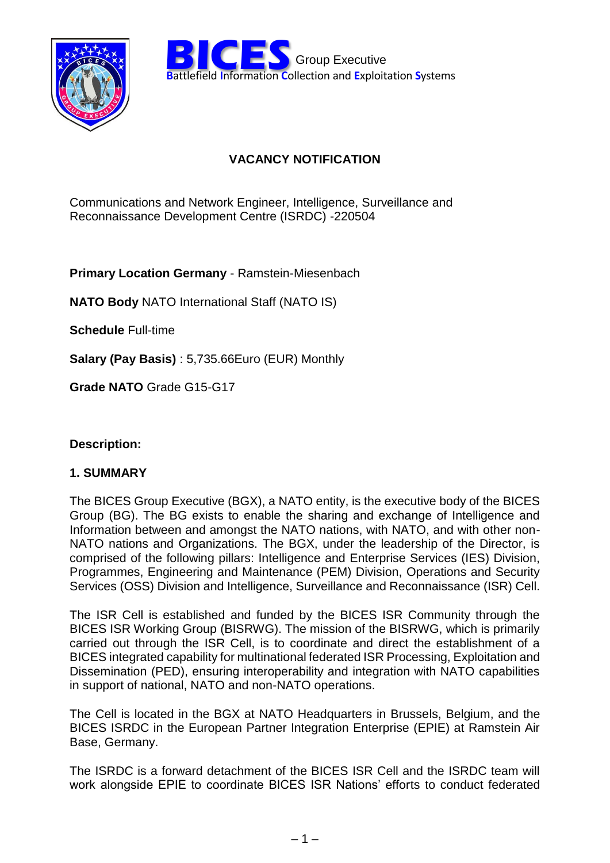

**BICES** Group Executive<br> **Battlefield Information Collection and Exploitation Systems** Group Executive

# **VACANCY NOTIFICATION**

Communications and Network Engineer, Intelligence, Surveillance and Reconnaissance Development Centre (ISRDC) -220504

**Primary Location Germany** - Ramstein-Miesenbach

**NATO Body** NATO International Staff (NATO IS)

**Schedule** Full-time

**Salary (Pay Basis)** : 5,735.66Euro (EUR) Monthly

**Grade NATO** Grade G15-G17

### **Description:**

#### **1. SUMMARY**

The BICES Group Executive (BGX), a NATO entity, is the executive body of the BICES Group (BG). The BG exists to enable the sharing and exchange of Intelligence and Information between and amongst the NATO nations, with NATO, and with other non-NATO nations and Organizations. The BGX, under the leadership of the Director, is comprised of the following pillars: Intelligence and Enterprise Services (IES) Division, Programmes, Engineering and Maintenance (PEM) Division, Operations and Security Services (OSS) Division and Intelligence, Surveillance and Reconnaissance (ISR) Cell.

The ISR Cell is established and funded by the BICES ISR Community through the BICES ISR Working Group (BISRWG). The mission of the BISRWG, which is primarily carried out through the ISR Cell, is to coordinate and direct the establishment of a BICES integrated capability for multinational federated ISR Processing, Exploitation and Dissemination (PED), ensuring interoperability and integration with NATO capabilities in support of national, NATO and non-NATO operations.

The Cell is located in the BGX at NATO Headquarters in Brussels, Belgium, and the BICES ISRDC in the European Partner Integration Enterprise (EPIE) at Ramstein Air Base, Germany.

The ISRDC is a forward detachment of the BICES ISR Cell and the ISRDC team will work alongside EPIE to coordinate BICES ISR Nations' efforts to conduct federated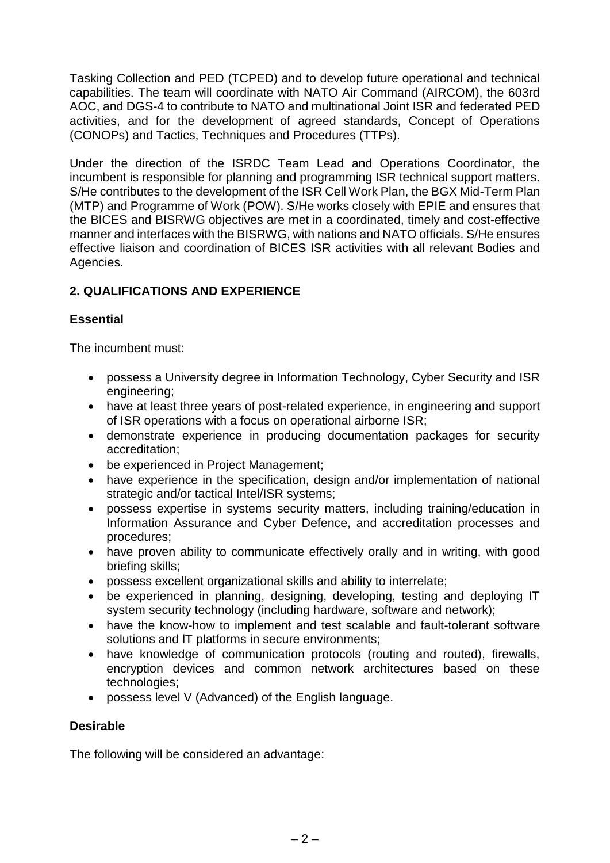Tasking Collection and PED (TCPED) and to develop future operational and technical capabilities. The team will coordinate with NATO Air Command (AIRCOM), the 603rd AOC, and DGS-4 to contribute to NATO and multinational Joint ISR and federated PED activities, and for the development of agreed standards, Concept of Operations (CONOPs) and Tactics, Techniques and Procedures (TTPs).

Under the direction of the ISRDC Team Lead and Operations Coordinator, the incumbent is responsible for planning and programming ISR technical support matters. S/He contributes to the development of the ISR Cell Work Plan, the BGX Mid-Term Plan (MTP) and Programme of Work (POW). S/He works closely with EPIE and ensures that the BICES and BISRWG objectives are met in a coordinated, timely and cost-effective manner and interfaces with the BISRWG, with nations and NATO officials. S/He ensures effective liaison and coordination of BICES ISR activities with all relevant Bodies and Agencies.

## **2. QUALIFICATIONS AND EXPERIENCE**

### **Essential**

The incumbent must:

- possess a University degree in Information Technology, Cyber Security and ISR engineering;
- have at least three years of post-related experience, in engineering and support of ISR operations with a focus on operational airborne ISR;
- demonstrate experience in producing documentation packages for security accreditation;
- be experienced in Project Management;
- have experience in the specification, design and/or implementation of national strategic and/or tactical Intel/ISR systems;
- possess expertise in systems security matters, including training/education in Information Assurance and Cyber Defence, and accreditation processes and procedures;
- have proven ability to communicate effectively orally and in writing, with good briefing skills;
- possess excellent organizational skills and ability to interrelate;
- be experienced in planning, designing, developing, testing and deploying IT system security technology (including hardware, software and network);
- have the know-how to implement and test scalable and fault-tolerant software solutions and lT platforms in secure environments;
- have knowledge of communication protocols (routing and routed), firewalls, encryption devices and common network architectures based on these technologies;
- possess level V (Advanced) of the English language.

### **Desirable**

The following will be considered an advantage: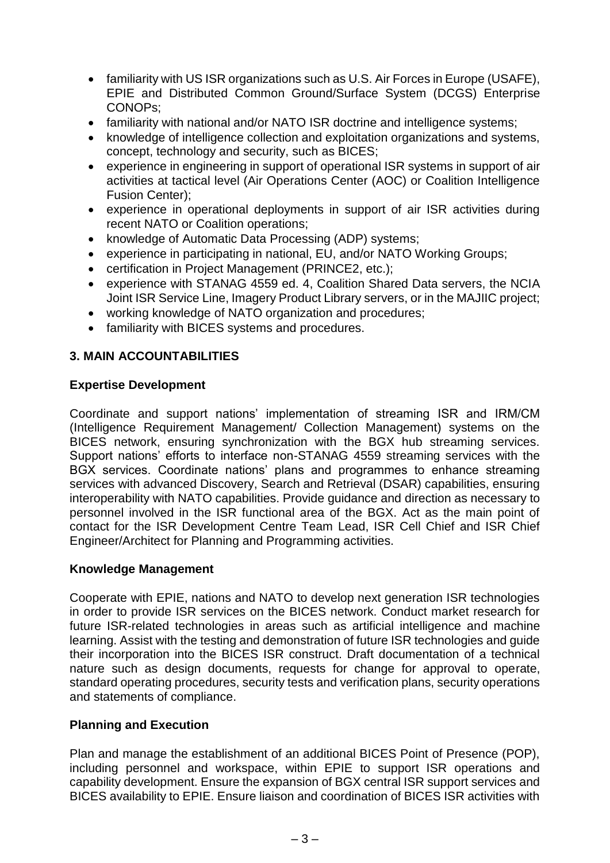- familiarity with US ISR organizations such as U.S. Air Forces in Europe (USAFE), EPIE and Distributed Common Ground/Surface System (DCGS) Enterprise CONOPs;
- familiarity with national and/or NATO ISR doctrine and intelligence systems;
- knowledge of intelligence collection and exploitation organizations and systems, concept, technology and security, such as BICES;
- experience in engineering in support of operational ISR systems in support of air activities at tactical level (Air Operations Center (AOC) or Coalition Intelligence Fusion Center);
- experience in operational deployments in support of air ISR activities during recent NATO or Coalition operations;
- knowledge of Automatic Data Processing (ADP) systems;
- experience in participating in national, EU, and/or NATO Working Groups;
- certification in Project Management (PRINCE2, etc.);
- experience with STANAG 4559 ed. 4, Coalition Shared Data servers, the NCIA Joint ISR Service Line, Imagery Product Library servers, or in the MAJIIC project;
- working knowledge of NATO organization and procedures;
- familiarity with BICES systems and procedures.

### **3. MAIN ACCOUNTABILITIES**

#### **Expertise Development**

Coordinate and support nations' implementation of streaming ISR and IRM/CM (Intelligence Requirement Management/ Collection Management) systems on the BICES network, ensuring synchronization with the BGX hub streaming services. Support nations' efforts to interface non-STANAG 4559 streaming services with the BGX services. Coordinate nations' plans and programmes to enhance streaming services with advanced Discovery, Search and Retrieval (DSAR) capabilities, ensuring interoperability with NATO capabilities. Provide guidance and direction as necessary to personnel involved in the ISR functional area of the BGX. Act as the main point of contact for the ISR Development Centre Team Lead, ISR Cell Chief and ISR Chief Engineer/Architect for Planning and Programming activities.

#### **Knowledge Management**

Cooperate with EPIE, nations and NATO to develop next generation ISR technologies in order to provide ISR services on the BICES network. Conduct market research for future ISR-related technologies in areas such as artificial intelligence and machine learning. Assist with the testing and demonstration of future ISR technologies and guide their incorporation into the BICES ISR construct. Draft documentation of a technical nature such as design documents, requests for change for approval to operate, standard operating procedures, security tests and verification plans, security operations and statements of compliance.

#### **Planning and Execution**

Plan and manage the establishment of an additional BICES Point of Presence (POP), including personnel and workspace, within EPIE to support ISR operations and capability development. Ensure the expansion of BGX central ISR support services and BICES availability to EPIE. Ensure liaison and coordination of BICES ISR activities with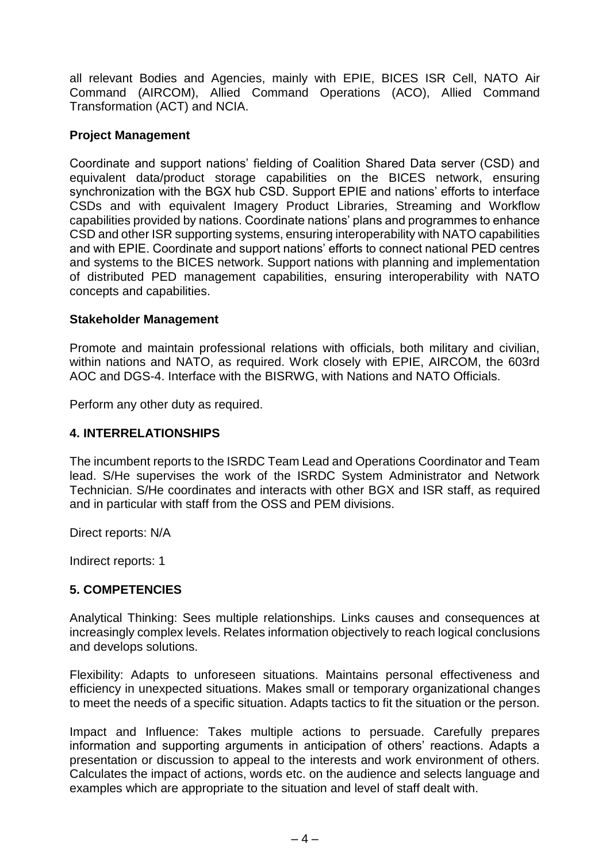all relevant Bodies and Agencies, mainly with EPIE, BICES ISR Cell, NATO Air Command (AIRCOM), Allied Command Operations (ACO), Allied Command Transformation (ACT) and NCIA.

#### **Project Management**

Coordinate and support nations' fielding of Coalition Shared Data server (CSD) and equivalent data/product storage capabilities on the BICES network, ensuring synchronization with the BGX hub CSD. Support EPIE and nations' efforts to interface CSDs and with equivalent Imagery Product Libraries, Streaming and Workflow capabilities provided by nations. Coordinate nations' plans and programmes to enhance CSD and other ISR supporting systems, ensuring interoperability with NATO capabilities and with EPIE. Coordinate and support nations' efforts to connect national PED centres and systems to the BICES network. Support nations with planning and implementation of distributed PED management capabilities, ensuring interoperability with NATO concepts and capabilities.

#### **Stakeholder Management**

Promote and maintain professional relations with officials, both military and civilian, within nations and NATO, as required. Work closely with EPIE, AIRCOM, the 603rd AOC and DGS-4. Interface with the BISRWG, with Nations and NATO Officials.

Perform any other duty as required.

#### **4. INTERRELATIONSHIPS**

The incumbent reports to the ISRDC Team Lead and Operations Coordinator and Team lead. S/He supervises the work of the ISRDC System Administrator and Network Technician. S/He coordinates and interacts with other BGX and ISR staff, as required and in particular with staff from the OSS and PEM divisions.

Direct reports: N/A

Indirect reports: 1

#### **5. COMPETENCIES**

Analytical Thinking: Sees multiple relationships. Links causes and consequences at increasingly complex levels. Relates information objectively to reach logical conclusions and develops solutions.

Flexibility: Adapts to unforeseen situations. Maintains personal effectiveness and efficiency in unexpected situations. Makes small or temporary organizational changes to meet the needs of a specific situation. Adapts tactics to fit the situation or the person.

Impact and Influence: Takes multiple actions to persuade. Carefully prepares information and supporting arguments in anticipation of others' reactions. Adapts a presentation or discussion to appeal to the interests and work environment of others. Calculates the impact of actions, words etc. on the audience and selects language and examples which are appropriate to the situation and level of staff dealt with.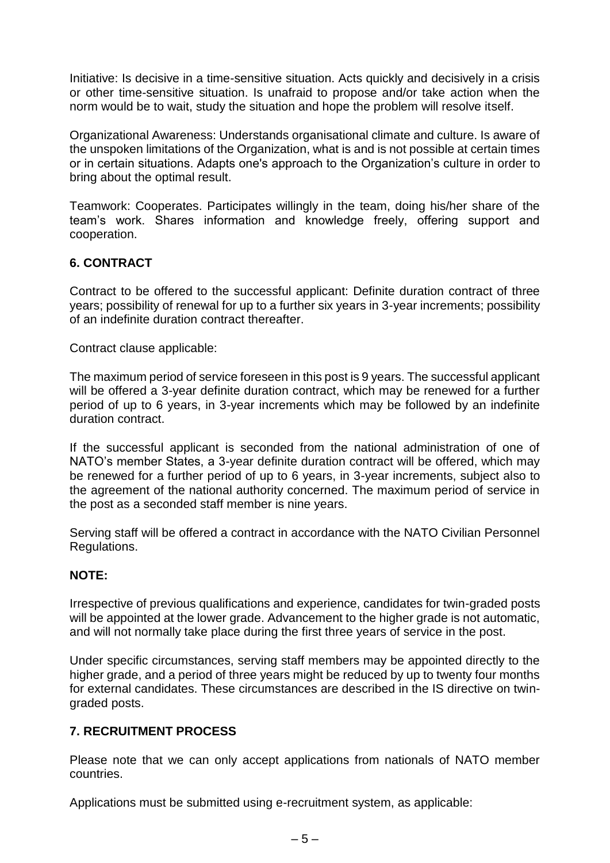Initiative: Is decisive in a time-sensitive situation. Acts quickly and decisively in a crisis or other time-sensitive situation. Is unafraid to propose and/or take action when the norm would be to wait, study the situation and hope the problem will resolve itself.

Organizational Awareness: Understands organisational climate and culture. Is aware of the unspoken limitations of the Organization, what is and is not possible at certain times or in certain situations. Adapts one's approach to the Organization's culture in order to bring about the optimal result.

Teamwork: Cooperates. Participates willingly in the team, doing his/her share of the team's work. Shares information and knowledge freely, offering support and cooperation.

## **6. CONTRACT**

Contract to be offered to the successful applicant: Definite duration contract of three years; possibility of renewal for up to a further six years in 3-year increments; possibility of an indefinite duration contract thereafter.

Contract clause applicable:

The maximum period of service foreseen in this post is 9 years. The successful applicant will be offered a 3-year definite duration contract, which may be renewed for a further period of up to 6 years, in 3-year increments which may be followed by an indefinite duration contract.

If the successful applicant is seconded from the national administration of one of NATO's member States, a 3-year definite duration contract will be offered, which may be renewed for a further period of up to 6 years, in 3-year increments, subject also to the agreement of the national authority concerned. The maximum period of service in the post as a seconded staff member is nine years.

Serving staff will be offered a contract in accordance with the NATO Civilian Personnel Regulations.

#### **NOTE:**

Irrespective of previous qualifications and experience, candidates for twin-graded posts will be appointed at the lower grade. Advancement to the higher grade is not automatic, and will not normally take place during the first three years of service in the post.

Under specific circumstances, serving staff members may be appointed directly to the higher grade, and a period of three years might be reduced by up to twenty four months for external candidates. These circumstances are described in the IS directive on twingraded posts.

### **7. RECRUITMENT PROCESS**

Please note that we can only accept applications from nationals of NATO member countries.

Applications must be submitted using e-recruitment system, as applicable: